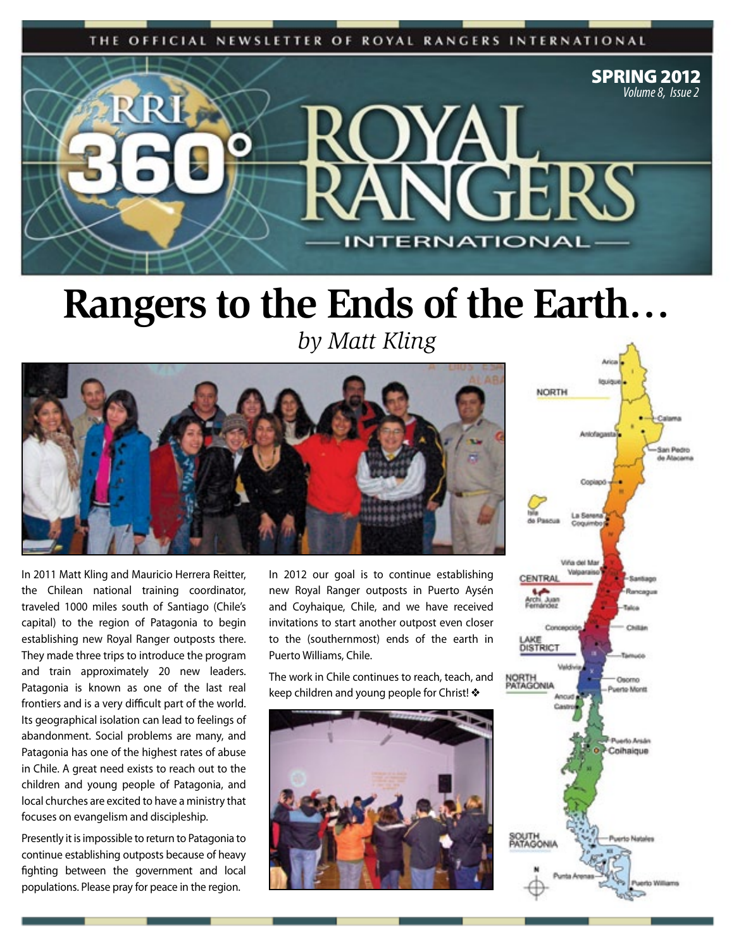THE OFFICIAL NEWSLETTER OF ROYAL RANGERS INTERNATIONAL



#### **Rangers to the Ends of the Earth…**

*by Matt Kling*



In 2011 Matt Kling and Mauricio Herrera Reitter, the Chilean national training coordinator, traveled 1000 miles south of Santiago (Chile's capital) to the region of Patagonia to begin establishing new Royal Ranger outposts there. They made three trips to introduce the program and train approximately 20 new leaders. Patagonia is known as one of the last real frontiers and is a very difficult part of the world. Its geographical isolation can lead to feelings of abandonment. Social problems are many, and Patagonia has one of the highest rates of abuse in Chile. A great need exists to reach out to the children and young people of Patagonia, and local churches are excited to have a ministry that focuses on evangelism and discipleship.

Presently it is impossible to return to Patagonia to continue establishing outposts because of heavy fighting between the government and local populations. Please pray for peace in the region.

In 2012 our goal is to continue establishing new Royal Ranger outposts in Puerto Aysén and Coyhaique, Chile, and we have received invitations to start another outpost even closer to the (southernmost) ends of the earth in Puerto Williams, Chile.

The work in Chile continues to reach, teach, and keep children and young people for Christ! ◆



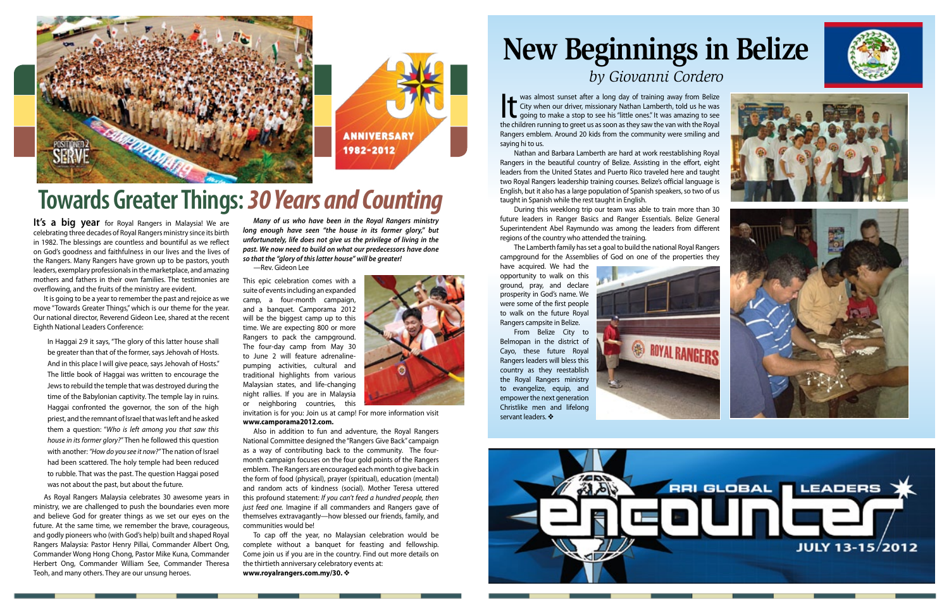**It was almost sunset after a long day of training away from Belize**<br>City when our driver, missionary Nathan Lamberth, told us he was<br>going to make a stop to see his "little ones." It was amazing to see<br>the children runnin City when our driver, missionary Nathan Lamberth, told us he was the children running to greet us as soon as they saw the van with the Royal Rangers emblem. Around 20 kids from the community were smiling and saying hi to us.

Nathan and Barbara Lamberth are hard at work reestablishing Royal Rangers in the beautiful country of Belize. Assisting in the effort, eight leaders from the United States and Puerto Rico traveled here and taught two Royal Rangers leadership training courses. Belize's official language is English, but it also has a large population of Spanish speakers, so two of us taught in Spanish while the rest taught in English.

During this weeklong trip our team was able to train more than 30 future leaders in Ranger Basics and Ranger Essentials. Belize General Superintendent Abel Raymundo was among the leaders from different regions of the country who attended the training.

The Lamberth family has set a goal to build the national Royal Rangers campground for the Assemblies of God on one of the properties they

It's a big year for Royal Rangers in Malaysia! We are celebrating three decades of Royal Rangers ministry since its birth in 1982. The blessings are countless and bountiful as we reflect on God's goodness and faithfulness in our lives and the lives of the Rangers. Many Rangers have grown up to be pastors, youth leaders, exemplary professionals in the marketplace, and amazing mothers and fathers in their own families. The testimonies are overflowing, and the fruits of the ministry are evident.

have acquired. We had the opportunity to walk on this ground, pray, and declare prosperity in God's name. We were some of the first people to walk on the future Royal Rangers campsite in Belize.

From Belize City to Belmopan in the district of Cayo, these future Royal Rangers leaders will bless this country as they reestablish the Royal Rangers ministry to evangelize, equip, and empower the next generation Christlike men and lifelong servant leaders. ❖











#### **New Beginnings in Belize**  *by Giovanni Cordero*



### **Towards Greater Things:** *30 Years and Counting*

It is going to be a year to remember the past and rejoice as we move "Towards Greater Things," which is our theme for the year. Our national director, Reverend Gideon Lee, shared at the recent Eighth National Leaders Conference:

In Haggai 2:9 it says, "The glory of this latter house shall be greater than that of the former, says Jehovah of Hosts. And in this place I will give peace, says Jehovah of Hosts." The little book of Haggai was written to encourage the Jews to rebuild the temple that was destroyed during the time of the Babylonian captivity. The temple lay in ruins. Haggai confronted the governor, the son of the high priest, and the remnant of Israel that was left and he asked them a question: "*Who is left among you that saw this house in its former glory?"* Then he followed this question with another: *"How do you see it now?"* The nation of Israel had been scattered. The holy temple had been reduced to rubble. That was the past. The question Haggai posed was not about the past, but about the future.

As Royal Rangers Malaysia celebrates 30 awesome years in ministry, we are challenged to push the boundaries even more and believe God for greater things as we set our eyes on the future. At the same time, we remember the brave, courageous, and godly pioneers who (with God's help) built and shaped Royal Rangers Malaysia: Pastor Henry Pillai, Commander Albert Ong, Commander Wong Hong Chong, Pastor Mike Kuna, Commander Herbert Ong, Commander William See, Commander Theresa Teoh, and many others. They are our unsung heroes.

*Many of us who have been in the Royal Rangers ministry long enough have seen "the house in its former glory," but unfortunately, life does not give us the privilege of living in the past. We now need to build on what our predecessors have done so that the "glory of this latter house" will be greater!*

—Rev. Gideon Lee

This epic celebration comes with a suite of events including an expanded camp, a four-month campaign, and a banquet. Camporama 2012 will be the biggest camp up to this time. We are expecting 800 or more Rangers to pack the campground. The four-day camp from May 30 to June 2 will feature adrenalinepumping activities, cultural and traditional highlights from various Malaysian states, and life-changing night rallies. If you are in Malaysia or neighboring countries, this

invitation is for you: Join us at camp! For more information visit **www.camporama2012.com.**

Also in addition to fun and adventure, the Royal Rangers National Committee designed the "Rangers Give Back" campaign as a way of contributing back to the community. The fourmonth campaign focuses on the four gold points of the Rangers emblem. The Rangers are encouraged each month to give back in the form of food (physical), prayer (spiritual), education (mental) and random acts of kindness (social). Mother Teresa uttered this profound statement: *If you can't feed a hundred people, then just feed one.* Imagine if all commanders and Rangers gave of themselves extravagantly—how blessed our friends, family, and communities would be!

To cap off the year, no Malaysian celebration would be complete without a banquet for feasting and fellowship. Come join us if you are in the country. Find out more details on the thirtieth anniversary celebratory events at: **www.royalrangers.com.my/30.** ❖